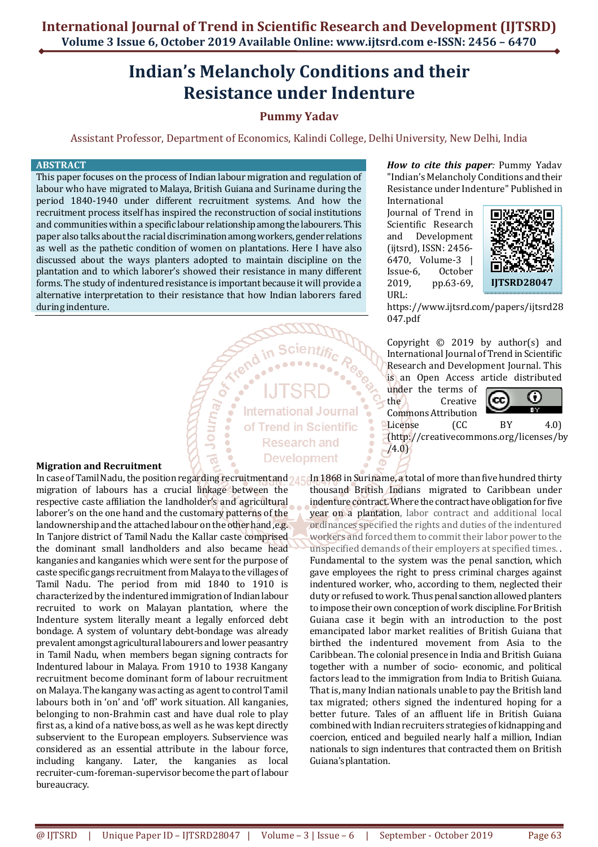# **Indian's Melancholy Conditions and their Resistance under Indenture**

# **Pummy Yadav**

Assistant Professor, Department of Economics, Kalindi College, Delhi University, New Delhi, India

#### **ABSTRACT**

This paper focuses on the process of Indian labour migration and regulation of labour who have migrated to Malaya, British Guiana and Suriname during the period 1840-1940 under different recruitment systems. And how the recruitment process itself has inspired the reconstruction of social institutions and communities within a specific labour relationship among the labourers. This paper also talks about the racial discrimination among workers, gender relations as well as the pathetic condition of women on plantations. Here I have also discussed about the ways planters adopted to maintain discipline on the plantation and to which laborer's showed their resistance in many different forms. The study of indentured resistance is important because it will provide a alternative interpretation to their resistance that how Indian laborers fared during indenture.

Journal Or.

*How to cite this paper:* Pummy Yadav "Indian's Melancholy Conditions and their Resistance under Indenture" Published in International

Journal of Trend in Scientific Research and Development (ijtsrd), ISSN: 2456- 6470, Volume-3 | Issue-6, October 2019, pp.63-69, URL:



https://www.ijtsrd.com/papers/ijtsrd28 047.pdf

Copyright © 2019 by author(s) and International Journal of Trend in Scientific Research and Development Journal. This is an Open Access article distributed

under the terms of<br>the Creative Creative



Commons Attribution<br>License (CC License (CC BY 4.0) (http://creativecommons.org/licenses/by  $/4.0$ 

thousand British Indians migrated to Caribbean under indenture contract. Where the contract have obligation for five year on a plantation, labor contract and additional local ordinances specified the rights and duties of the indentured workers and forced them to commit their labor power to the unspecified demands of their employers at specified times. . Fundamental to the system was the penal sanction, which gave employees the right to press criminal charges against indentured worker, who, according to them, neglected their duty or refused to work. Thus penal sanction allowed planters to impose their own conception of work discipline. For British Guiana case it begin with an introduction to the post emancipated labor market realities of British Guiana that birthed the indentured movement from Asia to the Caribbean. The colonial presence in India and British Guiana together with a number of socio- economic, and political factors lead to the immigration from India to British Guiana. That is, many Indian nationals unable to pay the British land tax migrated; others signed the indentured hoping for a better future. Tales of an affluent life in British Guiana combined with Indian recruiters strategies of kidnapping and coercion, enticed and beguiled nearly half a million, Indian nationals to sign indentures that contracted them on British Guiana's plantation.

# **Migration and Recruitment**

In case of Tamil Nadu, the position regarding recruitment and  $\gamma_A$  . An  $1868$  in Suriname, a total of more than five hundred thirty migration of labours has a crucial linkage between the respective caste affiliation the landholder's and agricultural laborer's on the one hand and the customary patterns of the landownership and the attached labour on the other hand, e.g. In Tanjore district of Tamil Nadu the Kallar caste comprised the dominant small landholders and also became head kanganies and kanganies which were sent for the purpose of caste specific gangs recruitment from Malaya to the villages of Tamil Nadu. The period from mid 1840 to 1910 is characterized by the indentured immigration of Indian labour recruited to work on Malayan plantation, where the Indenture system literally meant a legally enforced debt bondage. A system of voluntary debt-bondage was already prevalent amongst agricultural labourers and lower peasantry in Tamil Nadu, when members began signing contracts for Indentured labour in Malaya. From 1910 to 1938 Kangany recruitment become dominant form of labour recruitment on Malaya. The kangany was acting as agent to control Tamil labours both in 'on' and 'off' work situation. All kanganies, belonging to non-Brahmin cast and have dual role to play first as, a kind of a native boss, as well as he was kept directly subservient to the European employers. Subservience was considered as an essential attribute in the labour force, including kangany. Later, the kanganies as local recruiter-cum-foreman-supervisor become the part of labour bureaucracy.

**International Journal** of Trend in Scientific **Research and Development**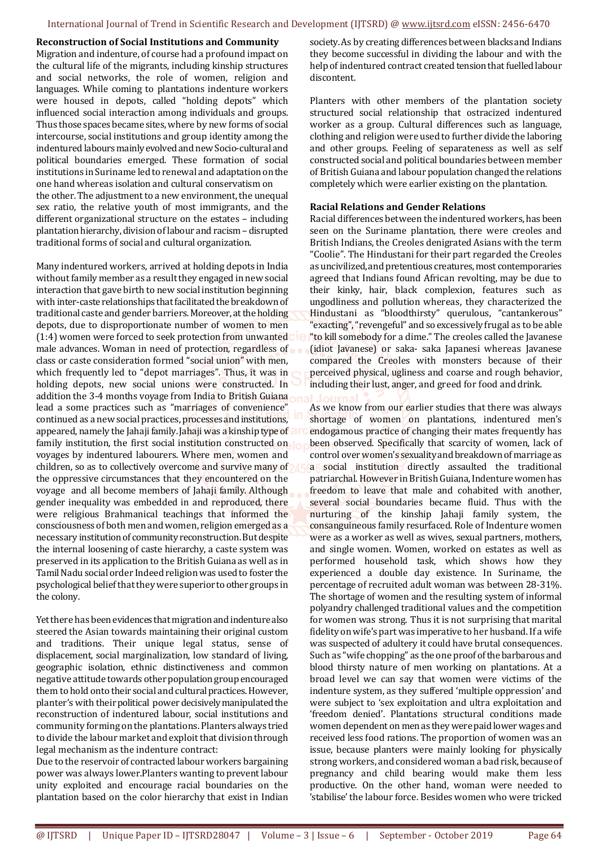# **Reconstruction of Social Institutions and Community**

Migration and indenture, of course had a profound impact on the cultural life of the migrants, including kinship structures and social networks, the role of women, religion and languages. While coming to plantations indenture workers were housed in depots, called "holding depots" which influenced social interaction among individuals and groups. Thus those spaces became sites, where by new forms of social intercourse, social institutions and group identity among the indentured labours mainly evolved and new Socio-cultural and political boundaries emerged. These formation of social institutions in Suriname led to renewal and adaptation on the one hand whereas isolation and cultural conservatism on the other. The adjustment to a new environment, the unequal sex ratio, the relative youth of most immigrants, and the different organizational structure on the estates – including plantation hierarchy, division of labour and racism – disrupted traditional forms of social and cultural organization.

Many indentured workers, arrived at holding depots in India without family member as a result they engaged in new social interaction that gave birth to new social institution beginning with inter-caste relationships that facilitated the breakdown of traditional caste and gender barriers. Moreover, at the holding depots, due to disproportionate number of women to men (1:4) women were forced to seek protection from unwanted male advances. Woman in need of protection, regardless of class or caste consideration formed "social union" with men, which frequently led to "depot marriages". Thus, it was in holding depots, new social unions were constructed. In addition the 3-4 months voyage from India to British Guiana lead a some practices such as "marriages of convenience" continued as a new social practices, processes and institutions, appeared, namely the Jahaji family. Jahaji was a kinship type of family institution, the first social institution constructed on voyages by indentured labourers. Where men, women and children, so as to collectively overcome and survive many of the oppressive circumstances that they encountered on the voyage and all become members of Jahaji family. Although gender inequality was embedded in and reproduced, there were religious Brahmanical teachings that informed the consciousness of both men and women, religion emerged as a necessary institution of community reconstruction. But despite the internal loosening of caste hierarchy, a caste system was preserved in its application to the British Guiana as well as in Tamil Nadu social order Indeed religion was used to foster the psychological belief that they were superior to other groups in the colony.

Yet there has been evidences that migration and indenture also steered the Asian towards maintaining their original custom and traditions. Their unique legal status, sense of displacement, social marginalization, low standard of living, geographic isolation, ethnic distinctiveness and common negative attitude towards other population group encouraged them to hold onto their social and cultural practices. However, planter's with their political power decisively manipulated the reconstruction of indentured labour, social institutions and community forming on the plantations. Planters always tried to divide the labour market and exploit that division through legal mechanism as the indenture contract:

Due to the reservoir of contracted labour workers bargaining power was always lower.Planters wanting to prevent labour unity exploited and encourage racial boundaries on the plantation based on the color hierarchy that exist in Indian

society. As by creating differences between blacks and Indians they become successful in dividing the labour and with the help of indentured contract created tension that fuelled labour discontent.

Planters with other members of the plantation society structured social relationship that ostracized indentured worker as a group. Cultural differences such as language, clothing and religion were used to further divide the laboring and other groups. Feeling of separateness as well as self constructed social and political boundaries between member of British Guiana and labour population changed the relations completely which were earlier existing on the plantation.

# **Racial Relations and Gender Relations**

Racial differences between the indentured workers, has been seen on the Suriname plantation, there were creoles and British Indians, the Creoles denigrated Asians with the term "Coolie". The Hindustani for their part regarded the Creoles as uncivilized, and pretentious creatures, most contemporaries agreed that Indians found African revolting, may be due to their kinky, hair, black complexion, features such as ungodliness and pollution whereas, they characterized the Hindustani as "bloodthirsty" querulous, "cantankerous" "exacting", "revengeful" and so excessively frugal as to be able "to kill somebody for a dime." The creoles called the Javanese (idiot Javanese) or saka- saka Japanesi whereas Javanese compared the Creoles with monsters because of their perceived physical, ugliness and coarse and rough behavior, including their lust, anger, and greed for food and drink.

As we know from our earlier studies that there was always shortage of women on plantations, indentured men's endogamous practice of changing their mates frequently has been observed. Specifically that scarcity of women, lack of control over women's sexuality and breakdown of marriage as a social institution directly assaulted the traditional patriarchal. However in British Guiana, Indenture women has freedom to leave that male and cohabited with another, several social boundaries became fluid. Thus with the nurturing of the kinship Jahaji family system, the consanguineous family resurfaced. Role of Indenture women were as a worker as well as wives, sexual partners, mothers, and single women. Women, worked on estates as well as performed household task, which shows how they experienced a double day existence. In Suriname, the percentage of recruited adult woman was between 28-31%. The shortage of women and the resulting system of informal polyandry challenged traditional values and the competition for women was strong. Thus it is not surprising that marital fidelity on wife's part was imperative to her husband. If a wife was suspected of adultery it could have brutal consequences. Such as "wife chopping" as the one proof of the barbarous and blood thirsty nature of men working on plantations. At a broad level we can say that women were victims of the indenture system, as they suffered 'multiple oppression' and were subject to 'sex exploitation and ultra exploitation and 'freedom denied'. Plantations structural conditions made women dependent on men as they were paid lower wages and received less food rations. The proportion of women was an issue, because planters were mainly looking for physically strong workers, and considered woman a bad risk, because of pregnancy and child bearing would make them less productive. On the other hand, woman were needed to 'stabilise' the labour force. Besides women who were tricked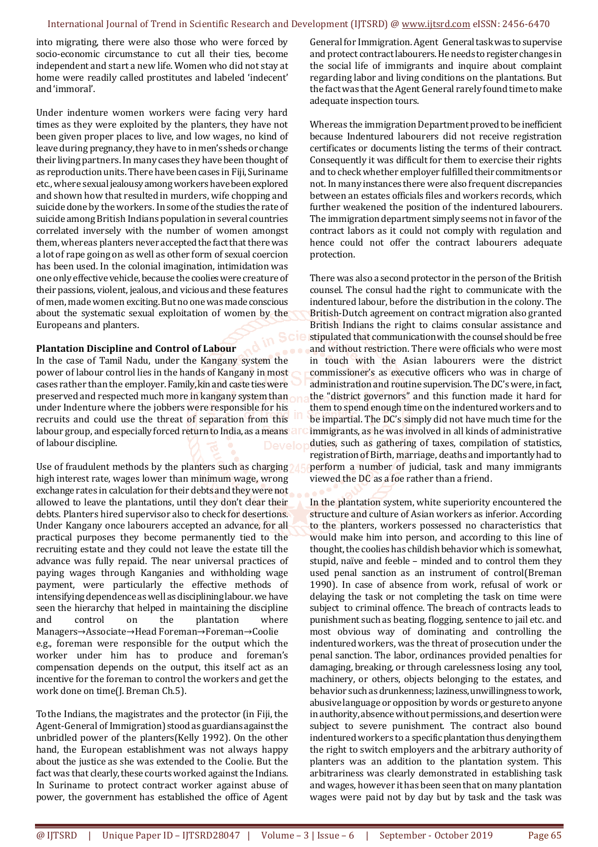#### International Journal of Trend in Scientific Research and Development (IJTSRD) @ www.ijtsrd.com eISSN: 2456-6470

into migrating, there were also those who were forced by socio-economic circumstance to cut all their ties, become independent and start a new life. Women who did not stay at home were readily called prostitutes and labeled 'indecent' and 'immoral'.

Under indenture women workers were facing very hard times as they were exploited by the planters, they have not been given proper places to live, and low wages, no kind of leave during pregnancy, they have to in men's sheds or change their living partners. In many cases they have been thought of as reproduction units. There have been cases in Fiji, Suriname etc., where sexual jealousy among workers have been explored and shown how that resulted in murders, wife chopping and suicide done by the workers. In some of the studies the rate of suicide among British Indians population in several countries correlated inversely with the number of women amongst them, whereas planters never accepted the fact that there was a lot of rape going on as well as other form of sexual coercion has been used. In the colonial imagination, intimidation was one only effective vehicle, because the coolies were creature of their passions, violent, jealous, and vicious and these features of men, made women exciting. But no one was made conscious about the systematic sexual exploitation of women by the Europeans and planters.

#### **Plantation Discipline and Control of Labour**

In the case of Tamil Nadu, under the Kangany system the power of labour control lies in the hands of Kangany in most cases rather than the employer. Family, kin and caste ties were preserved and respected much more in kangany system than under Indenture where the jobbers were responsible for his recruits and could use the threat of separation from this labour group, and especially forced return to India, as a means and of labour discipline.

Use of fraudulent methods by the planters such as charging high interest rate, wages lower than minimum wage, wrong exchange rates in calculation for their debts and they were not allowed to leave the plantations, until they don't clear their debts. Planters hired supervisor also to check for desertions. Under Kangany once labourers accepted an advance, for all practical purposes they become permanently tied to the recruiting estate and they could not leave the estate till the advance was fully repaid. The near universal practices of paying wages through Kanganies and withholding wage payment, were particularly the effective methods of intensifying dependence as well as disciplining labour. we have seen the hierarchy that helped in maintaining the discipline and control on the plantation where Managers→Associate→Head Foreman→Foreman→Coolie e.g., foreman were responsible for the output which the worker under him has to produce and foreman's compensation depends on the output, this itself act as an incentive for the foreman to control the workers and get the work done on time(J. Breman Ch.5).

To the Indians, the magistrates and the protector (in Fiji, the Agent-General of Immigration) stood as guardians against the unbridled power of the planters(Kelly 1992). On the other hand, the European establishment was not always happy about the justice as she was extended to the Coolie. But the fact was that clearly, these courts worked against the Indians. In Suriname to protect contract worker against abuse of power, the government has established the office of Agent

General for Immigration. Agent General task was to supervise and protect contract labourers. He needs to register changes in the social life of immigrants and inquire about complaint regarding labor and living conditions on the plantations. But the fact was that the Agent General rarely found time to make adequate inspection tours.

Whereas the immigration Department proved to be inefficient because Indentured labourers did not receive registration certificates or documents listing the terms of their contract. Consequently it was difficult for them to exercise their rights and to check whether employer fulfilled their commitments or not. In many instances there were also frequent discrepancies between an estates officials files and workers records, which further weakened the position of the indentured labourers. The immigration department simply seems not in favor of the contract labors as it could not comply with regulation and hence could not offer the contract labourers adequate protection.

There was also a second protector in the person of the British counsel. The consul had the right to communicate with the indentured labour, before the distribution in the colony. The British-Dutch agreement on contract migration also granted British Indians the right to claims consular assistance and stipulated that communication with the counsel should be free and without restriction. There were officials who were most in touch with the Asian labourers were the district commissioner's as executive officers who was in charge of administration and routine supervision. The DC's were, in fact, the "district governors" and this function made it hard for them to spend enough time on the indentured workers and to be impartial. The DC's simply did not have much time for the immigrants, as he was involved in all kinds of administrative duties, such as gathering of taxes, compilation of statistics, registration of Birth, marriage, deaths and importantly had to perform a number of judicial, task and many immigrants viewed the DC as a foe rather than a friend.

In the plantation system, white superiority encountered the structure and culture of Asian workers as inferior. According to the planters, workers possessed no characteristics that would make him into person, and according to this line of thought, the coolies has childish behavior which is somewhat, stupid, naïve and feeble – minded and to control them they used penal sanction as an instrument of control(Breman 1990). In case of absence from work, refusal of work or delaying the task or not completing the task on time were subject to criminal offence. The breach of contracts leads to punishment such as beating, flogging, sentence to jail etc. and most obvious way of dominating and controlling the indentured workers, was the threat of prosecution under the penal sanction. The labor, ordinances provided penalties for damaging, breaking, or through carelessness losing any tool, machinery, or others, objects belonging to the estates, and behavior such as drunkenness; laziness, unwillingness to work, abusive language or opposition by words or gesture to anyone in authority, absence without permissions, and desertion were subject to severe punishment. The contract also bound indentured workers to a specific plantation thus denying them the right to switch employers and the arbitrary authority of planters was an addition to the plantation system. This arbitrariness was clearly demonstrated in establishing task and wages, however it has been seen that on many plantation wages were paid not by day but by task and the task was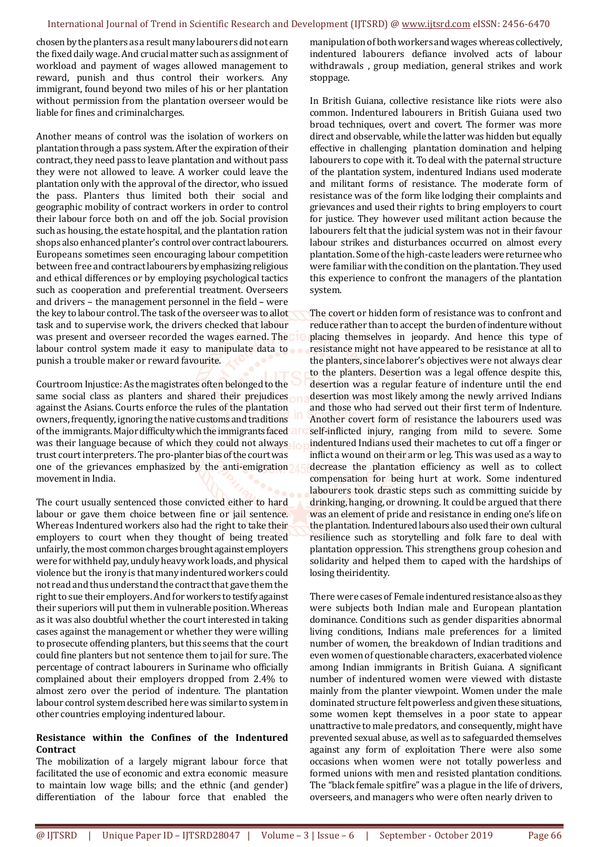#### International Journal of Trend in Scientific Research and Development (IJTSRD) @ www.ijtsrd.com eISSN: 2456-6470

chosen by the planters as a result many labourers did not earn the fixed daily wage. And crucial matter such as assignment of workload and payment of wages allowed management to reward, punish and thus control their workers. Any immigrant, found beyond two miles of his or her plantation without permission from the plantation overseer would be liable for fines and criminal charges.

Another means of control was the isolation of workers on plantation through a pass system. After the expiration of their contract, they need pass to leave plantation and without pass they were not allowed to leave. A worker could leave the plantation only with the approval of the director, who issued the pass. Planters thus limited both their social and geographic mobility of contract workers in order to control their labour force both on and off the job. Social provision such as housing, the estate hospital, and the plantation ration shops also enhanced planter's control over contract labourers. Europeans sometimes seen encouraging labour competition between free and contract labourers by emphasizing religious and ethical differences or by employing psychological tactics such as cooperation and preferential treatment. Overseers and drivers – the management personnel in the field – were the key to labour control. The task of the overseer was to allot task and to supervise work, the drivers checked that labour was present and overseer recorded the wages earned. The labour control system made it easy to manipulate data to punish a trouble maker or reward favourite.

Courtroom Injustice: As the magistrates often belonged to the same social class as planters and shared their prejudices against the Asians. Courts enforce the rules of the plantation owners, frequently, ignoring the native customs and traditions of the immigrants. Major difficulty which the immigrants faced was their language because of which they could not always trust court interpreters. The pro-planter bias of the court was one of the grievances emphasized by the anti-emigration movement in India.

The court usually sentenced those convicted either to hard labour or gave them choice between fine or jail sentence. Whereas Indentured workers also had the right to take their employers to court when they thought of being treated unfairly, the most common charges brought against employers were for withheld pay, unduly heavy work loads, and physical violence but the irony is that many indentured workers could not read and thus understand the contract that gave them the right to sue their employers. And for workers to testify against their superiors will put them in vulnerable position. Whereas as it was also doubtful whether the court interested in taking cases against the management or whether they were willing to prosecute offending planters, but this seems that the court could fine planters but not sentence them to jail for sure. The percentage of contract labourers in Suriname who officially complained about their employers dropped from 2.4% to almost zero over the period of indenture. The plantation labour control system described here was similar to system in other countries employing indentured labour.

# **Resistance within the Confines of the Indentured Contract**

The mobilization of a largely migrant labour force that facilitated the use of economic and extra economic measure to maintain low wage bills; and the ethnic (and gender) differentiation of the labour force that enabled the

manipulation of both workers and wages whereas collectively, indentured labourers defiance involved acts of labour withdrawals , group mediation, general strikes and work stoppage.

In British Guiana, collective resistance like riots were also common. Indentured labourers in British Guiana used two broad techniques, overt and covert. The former was more direct and observable, while the latter was hidden but equally effective in challenging plantation domination and helping labourers to cope with it. To deal with the paternal structure of the plantation system, indentured Indians used moderate and militant forms of resistance. The moderate form of resistance was of the form like lodging their complaints and grievances and used their rights to bring employers to court for justice. They however used militant action because the labourers felt that the judicial system was not in their favour labour strikes and disturbances occurred on almost every plantation. Some of the high-caste leaders were returnee who were familiar with the condition on the plantation. They used this experience to confront the managers of the plantation system.

The covert or hidden form of resistance was to confront and reduce rather than to accept the burden of indenture without placing themselves in jeopardy. And hence this type of resistance might not have appeared to be resistance at all to the planters, since laborer's objectives were not always clear to the planters. Desertion was a legal offence despite this, desertion was a regular feature of indenture until the end desertion was most likely among the newly arrived Indians and those who had served out their first term of Indenture. Another covert form of resistance the labourers used was self-inflicted injury, ranging from mild to severe. Some indentured Indians used their machetes to cut off a finger or inflict a wound on their arm or leg. This was used as a way to decrease the plantation efficiency as well as to collect compensation for being hurt at work. Some indentured labourers took drastic steps such as committing suicide by drinking, hanging, or drowning. It could be argued that there was an element of pride and resistance in ending one's life on the plantation. Indentured labours also used their own cultural resilience such as storytelling and folk fare to deal with plantation oppression. This strengthens group cohesion and solidarity and helped them to caped with the hardships of losing their identity.

There were cases of Female indentured resistance also as they were subjects both Indian male and European plantation dominance. Conditions such as gender disparities abnormal living conditions, Indians male preferences for a limited number of women, the breakdown of Indian traditions and even women of questionable characters, exacerbated violence among Indian immigrants in British Guiana. A significant number of indentured women were viewed with distaste mainly from the planter viewpoint. Women under the male dominated structure felt powerless and given these situations, some women kept themselves in a poor state to appear unattractive to male predators, and consequently, might have prevented sexual abuse, as well as to safeguarded themselves against any form of exploitation There were also some occasions when women were not totally powerless and formed unions with men and resisted plantation conditions. The "black female spitfire" was a plague in the life of drivers, overseers, and managers who were often nearly driven to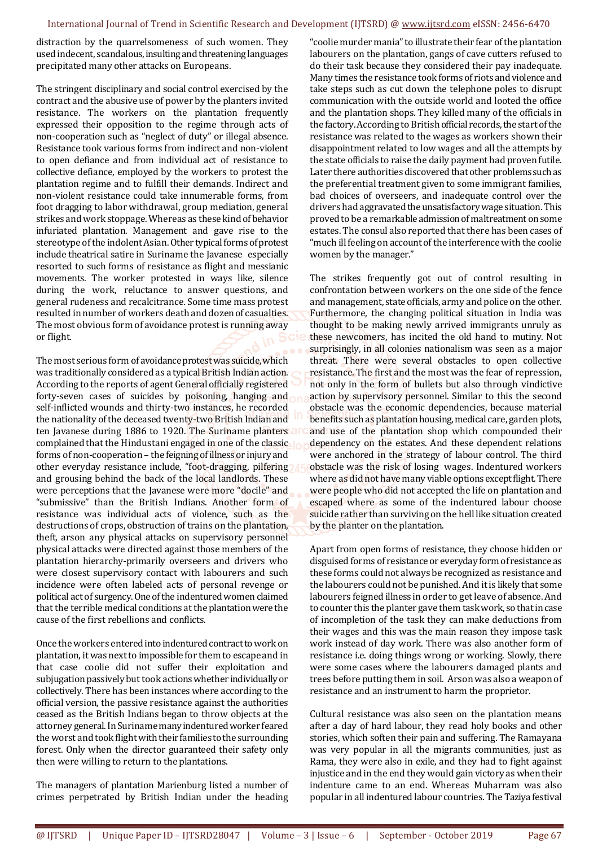distraction by the quarrelsomeness of such women. They used indecent, scandalous, insulting and threatening languages precipitated many other attacks on Europeans.

The stringent disciplinary and social control exercised by the contract and the abusive use of power by the planters invited resistance. The workers on the plantation frequently expressed their opposition to the regime through acts of non-cooperation such as "neglect of duty" or illegal absence. Resistance took various forms from indirect and non-violent to open defiance and from individual act of resistance to collective defiance, employed by the workers to protest the plantation regime and to fulfill their demands. Indirect and non-violent resistance could take innumerable forms, from foot dragging to labor withdrawal, group mediation, general strikes and work stoppage. Whereas as these kind of behavior infuriated plantation. Management and gave rise to the stereotype of the indolent Asian. Other typical forms of protest include theatrical satire in Suriname the Javanese especially resorted to such forms of resistance as flight and messianic movements. The worker protested in ways like, silence during the work, reluctance to answer questions, and general rudeness and recalcitrance. Some time mass protest resulted in number of workers death and dozen of casualties. The most obvious form of avoidance protest is running away or flight.

The most serious form of avoidance protest was suicide, which was traditionally considered as a typical British Indian action. According to the reports of agent General officially registered forty-seven cases of suicides by poisoning, hanging and self-inflicted wounds and thirty-two instances, he recorded the nationality of the deceased twenty-two British Indian and ten Javanese during 1886 to 1920. The Suriname planters a complained that the Hindustani engaged in one of the classic forms of non-cooperation – the feigning of illness or injury and other everyday resistance include, "foot-dragging, pilfering" and grousing behind the back of the local landlords. These were perceptions that the Javanese were more "docile" and "submissive" than the British Indians. Another form of resistance was individual acts of violence, such as the destructions of crops, obstruction of trains on the plantation, theft, arson any physical attacks on supervisory personnel physical attacks were directed against those members of the plantation hierarchy-primarily overseers and drivers who were closest supervisory contact with labourers and such incidence were often labeled acts of personal revenge or political act of surgency. One of the indentured women claimed that the terrible medical conditions at the plantation were the cause of the first rebellions and conflicts.

Once the workers entered into indentured contract to work on plantation, it was next to impossible for them to escape and in that case coolie did not suffer their exploitation and subjugation passively but took actions whether individually or collectively. There has been instances where according to the official version, the passive resistance against the authorities ceased as the British Indians began to throw objects at the attorney general. In Suriname many indentured worker feared the worst and took flight with their families to the surrounding forest. Only when the director guaranteed their safety only then were willing to return to the plantations.

The managers of plantation Marienburg listed a number of crimes perpetrated by British Indian under the heading

"coolie murder mania" to illustrate their fear of the plantation labourers on the plantation, gangs of cave cutters refused to do their task because they considered their pay inadequate. Many times the resistance took forms of riots and violence and take steps such as cut down the telephone poles to disrupt communication with the outside world and looted the office and the plantation shops. They killed many of the officials in the factory. According to British official records, the start of the resistance was related to the wages as workers shown their disappointment related to low wages and all the attempts by the state officials to raise the daily payment had proven futile. Later there authorities discovered that other problems such as the preferential treatment given to some immigrant families, bad choices of overseers, and inadequate control over the drivers had aggravated the unsatisfactory wage situation. This proved to be a remarkable admission of maltreatment on some estates. The consul also reported that there has been cases of "much ill feeling on account of the interference with the coolie women by the manager."

The strikes frequently got out of control resulting in confrontation between workers on the one side of the fence and management, state officials, army and police on the other. Furthermore, the changing political situation in India was thought to be making newly arrived immigrants unruly as these newcomers, has incited the old hand to mutiny. Not surprisingly, in all colonies nationalism was seen as a major threat. There were several obstacles to open collective resistance. The first and the most was the fear of repression, not only in the form of bullets but also through vindictive action by supervisory personnel. Similar to this the second obstacle was the economic dependencies, because material benefits such as plantation housing, medical care, garden plots, and use of the plantation shop which compounded their dependency on the estates. And these dependent relations were anchored in the strategy of labour control. The third obstacle was the risk of losing wages. Indentured workers where as did not have many viable options except flight. There were people who did not accepted the life on plantation and escaped where as some of the indentured labour choose suicide rather than surviving on the hell like situation created by the planter on the plantation.

Apart from open forms of resistance, they choose hidden or disguised forms of resistance or everyday form of resistance as these forms could not always be recognized as resistance and the labourers could not be punished. And it is likely that some labourers feigned illness in order to get leave of absence. And to counter this the planter gave them task work, so that in case of incompletion of the task they can make deductions from their wages and this was the main reason they impose task work instead of day work. There was also another form of resistance i.e. doing things wrong or working. Slowly, there were some cases where the labourers damaged plants and trees before putting them in soil. Arson was also a weapon of resistance and an instrument to harm the proprietor.

Cultural resistance was also seen on the plantation means after a day of hard labour, they read holy books and other stories, which soften their pain and suffering. The Ramayana was very popular in all the migrants communities, just as Rama, they were also in exile, and they had to fight against injustice and in the end they would gain victory as when their indenture came to an end. Whereas Muharram was also popular in all indentured labour countries. The Taziya festival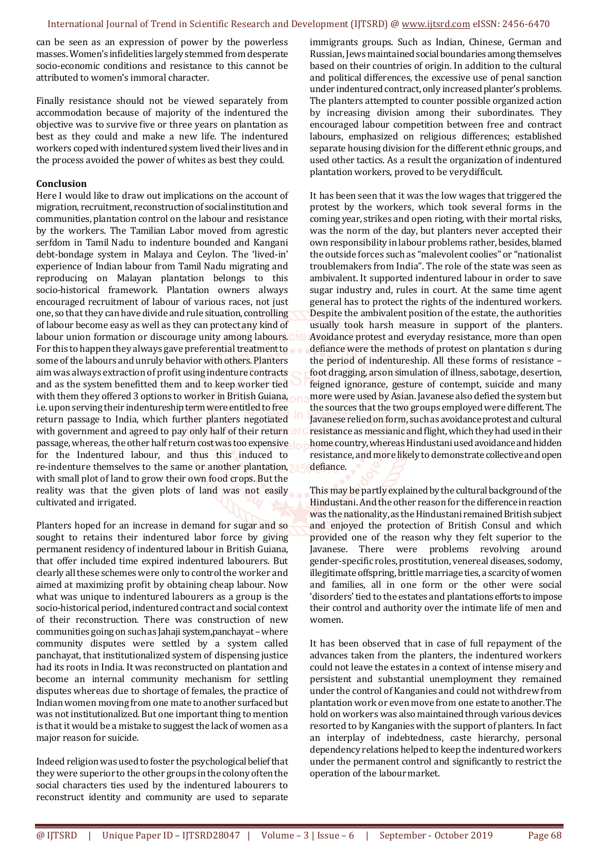can be seen as an expression of power by the powerless masses. Women's infidelities largely stemmed from desperate socio-economic conditions and resistance to this cannot be attributed to women's immoral character.

Finally resistance should not be viewed separately from accommodation because of majority of the indentured the objective was to survive five or three years on plantation as best as they could and make a new life. The indentured workers coped with indentured system lived their lives and in the process avoided the power of whites as best they could.

# **Conclusion**

Here I would like to draw out implications on the account of migration, recruitment, reconstruction of social institution and communities, plantation control on the labour and resistance by the workers. The Tamilian Labor moved from agrestic serfdom in Tamil Nadu to indenture bounded and Kangani debt-bondage system in Malaya and Ceylon. The 'lived-in' experience of Indian labour from Tamil Nadu migrating and reproducing on Malayan plantation belongs to this socio-historical framework. Plantation owners always encouraged recruitment of labour of various races, not just one, so that they can have divide and rule situation, controlling of labour become easy as well as they can protect any kind of labour union formation or discourage unity among labours. For this to happen they always gave preferential treatment to some of the labours and unruly behavior with others. Planters aim was always extraction of profit using indenture contracts and as the system benefitted them and to keep worker tied with them they offered 3 options to worker in British Guiana, i.e. upon serving their indentureship term were entitled to free return passage to India, which further planters negotiated with government and agreed to pay only half of their return passage, whereas, the other half return cost was too expensive for the Indentured labour, and thus this induced to re-indenture themselves to the same or another plantation, with small plot of land to grow their own food crops. But the reality was that the given plots of land was not easily cultivated and irrigated.

Planters hoped for an increase in demand for sugar and so sought to retains their indentured labor force by giving permanent residency of indentured labour in British Guiana, that offer included time expired indentured labourers. But clearly all these schemes were only to control the worker and aimed at maximizing profit by obtaining cheap labour. Now what was unique to indentured labourers as a group is the socio-historical period, indentured contract and social context of their reconstruction. There was construction of new communities going on such as Jahaji system,panchayat – where community disputes were settled by a system called panchayat, that institutionalized system of dispensing justice had its roots in India. It was reconstructed on plantation and become an internal community mechanism for settling disputes whereas due to shortage of females, the practice of Indian women moving from one mate to another surfaced but was not institutionalized. But one important thing to mention is that it would be a mistake to suggest the lack of women as a major reason for suicide.

Indeed religion was used to foster the psychological belief that they were superior to the other groups in the colony often the social characters ties used by the indentured labourers to reconstruct identity and community are used to separate

immigrants groups. Such as Indian, Chinese, German and Russian, Jews maintained social boundaries among themselves based on their countries of origin. In addition to the cultural and political differences, the excessive use of penal sanction under indentured contract, only increased planter's problems. The planters attempted to counter possible organized action by increasing division among their subordinates. They encouraged labour competition between free and contract labours, emphasized on religious differences; established separate housing division for the different ethnic groups, and used other tactics. As a result the organization of indentured plantation workers, proved to be very difficult.

It has been seen that it was the low wages that triggered the protest by the workers, which took several forms in the coming year, strikes and open rioting, with their mortal risks, was the norm of the day, but planters never accepted their own responsibility in labour problems rather, besides, blamed the outside forces such as "malevolent coolies" or "nationalist troublemakers from India". The role of the state was seen as ambivalent. It supported indentured labour in order to save sugar industry and, rules in court. At the same time agent general has to protect the rights of the indentured workers. Despite the ambivalent position of the estate, the authorities usually took harsh measure in support of the planters. Avoidance protest and everyday resistance, more than open defiance were the methods of protest on plantation s during the period of indentureship. All these forms of resistance – foot dragging, arson simulation of illness, sabotage, desertion, feigned ignorance, gesture of contempt, suicide and many more were used by Asian. Javanese also defied the system but the sources that the two groups employed were different. The Javanese relied on form, such as avoidance protest and cultural resistance as messianic and flight, which they had used in their home country, whereas Hindustani used avoidance and hidden resistance, and more likely to demonstrate collective and open defiance.

This may be partly explained by the cultural background of the Hindustani. And the other reason for the difference in reaction was the nationality, as the Hindustani remained British subject and enjoyed the protection of British Consul and which provided one of the reason why they felt superior to the Javanese. There were problems revolving around gender-specific roles, prostitution, venereal diseases, sodomy, illegitimate offspring, brittle marriage ties, a scarcity of women and families, all in one form or the other were social 'disorders' tied to the estates and plantations efforts to impose their control and authority over the intimate life of men and women.

It has been observed that in case of full repayment of the advances taken from the planters, the indentured workers could not leave the estates in a context of intense misery and persistent and substantial unemployment they remained under the control of Kanganies and could not withdrew from plantation work or even move from one estate to another. The hold on workers was also maintained through various devices resorted to by Kanganies with the support of planters. In fact an interplay of indebtedness, caste hierarchy, personal dependency relations helped to keep the indentured workers under the permanent control and significantly to restrict the operation of the labour market.